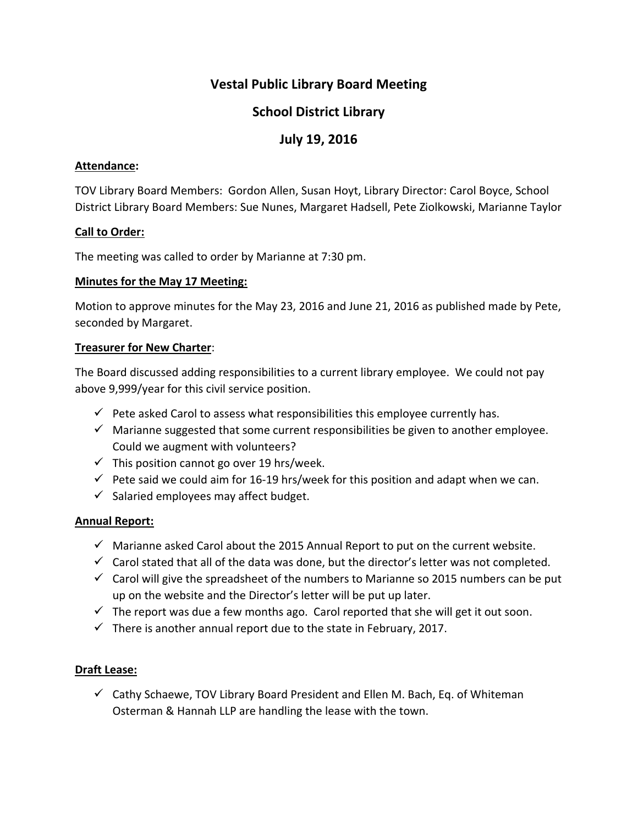# **School District Library**

# **July 19, 2016**

### **Attendance:**

TOV Library Board Members: Gordon Allen, Susan Hoyt, Library Director: Carol Boyce, School District Library Board Members: Sue Nunes, Margaret Hadsell, Pete Ziolkowski, Marianne Taylor

### **Call to Order:**

The meeting was called to order by Marianne at 7:30 pm.

#### **Minutes for the May 17 Meeting:**

Motion to approve minutes for the May 23, 2016 and June 21, 2016 as published made by Pete, seconded by Margaret.

### **Treasurer for New Charter**:

The Board discussed adding responsibilities to a current library employee. We could not pay above 9,999/year for this civil service position.

- $\checkmark$  Pete asked Carol to assess what responsibilities this employee currently has.
- $\checkmark$  Marianne suggested that some current responsibilities be given to another employee. Could we augment with volunteers?
- $\checkmark$  This position cannot go over 19 hrs/week.
- $\checkmark$  Pete said we could aim for 16-19 hrs/week for this position and adapt when we can.
- $\checkmark$  Salaried employees may affect budget.

## **Annual Report:**

- $\checkmark$  Marianne asked Carol about the 2015 Annual Report to put on the current website.
- $\checkmark$  Carol stated that all of the data was done, but the director's letter was not completed.
- $\checkmark$  Carol will give the spreadsheet of the numbers to Marianne so 2015 numbers can be put up on the website and the Director's letter will be put up later.
- $\checkmark$  The report was due a few months ago. Carol reported that she will get it out soon.
- $\checkmark$  There is another annual report due to the state in February, 2017.

## **Draft Lease:**

 $\checkmark$  Cathy Schaewe, TOV Library Board President and Ellen M. Bach, Eq. of Whiteman Osterman & Hannah LLP are handling the lease with the town.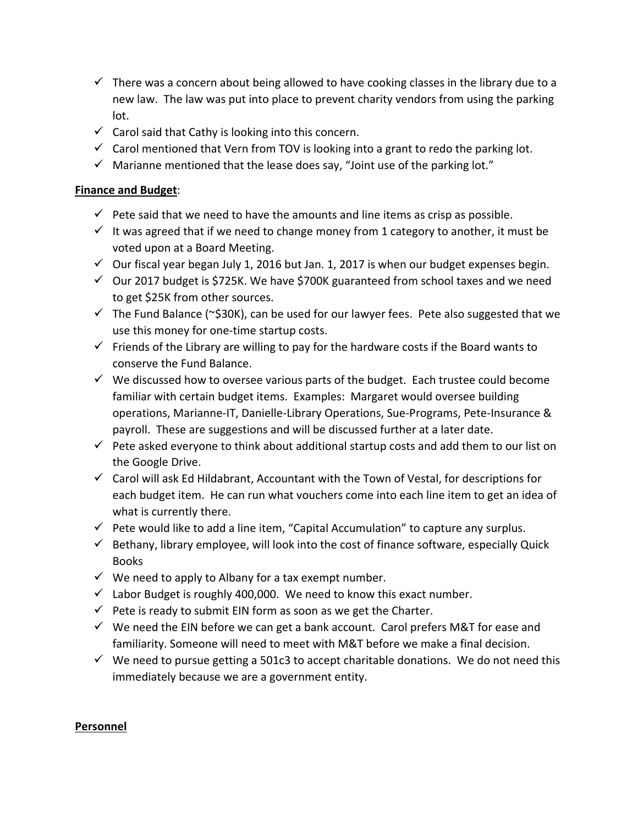- $\checkmark$  There was a concern about being allowed to have cooking classes in the library due to a new law. The law was put into place to prevent charity vendors from using the parking lot.
- $\checkmark$  Carol said that Cathy is looking into this concern.
- $\checkmark$  Carol mentioned that Vern from TOV is looking into a grant to redo the parking lot.
- $\checkmark$  Marianne mentioned that the lease does say, "Joint use of the parking lot."

# **Finance and Budget**:

- $\checkmark$  Pete said that we need to have the amounts and line items as crisp as possible.
- $\checkmark$  It was agreed that if we need to change money from 1 category to another, it must be voted upon at a Board Meeting.
- $\checkmark$  Our fiscal year began July 1, 2016 but Jan. 1, 2017 is when our budget expenses begin.
- $\checkmark$  Our 2017 budget is \$725K. We have \$700K guaranteed from school taxes and we need to get \$25K from other sources.
- $\checkmark$  The Fund Balance (~\$30K), can be used for our lawyer fees. Pete also suggested that we use this money for one-time startup costs.
- $\checkmark$  Friends of the Library are willing to pay for the hardware costs if the Board wants to conserve the Fund Balance.
- $\checkmark$  We discussed how to oversee various parts of the budget. Each trustee could become familiar with certain budget items. Examples: Margaret would oversee building operations, Marianne-IT, Danielle-Library Operations, Sue-Programs, Pete-Insurance & payroll. These are suggestions and will be discussed further at a later date.
- $\checkmark$  Pete asked everyone to think about additional startup costs and add them to our list on the Google Drive.
- $\checkmark$  Carol will ask Ed Hildabrant, Accountant with the Town of Vestal, for descriptions for each budget item. He can run what vouchers come into each line item to get an idea of what is currently there.
- $\checkmark$  Pete would like to add a line item, "Capital Accumulation" to capture any surplus.
- $\checkmark$  Bethany, library employee, will look into the cost of finance software, especially Quick Books
- $\checkmark$  We need to apply to Albany for a tax exempt number.
- $\checkmark$  Labor Budget is roughly 400,000. We need to know this exact number.
- $\checkmark$  Pete is ready to submit EIN form as soon as we get the Charter.
- $\checkmark$  We need the EIN before we can get a bank account. Carol prefers M&T for ease and familiarity. Someone will need to meet with M&T before we make a final decision.
- $\checkmark$  We need to pursue getting a 501c3 to accept charitable donations. We do not need this immediately because we are a government entity.

## **Personnel**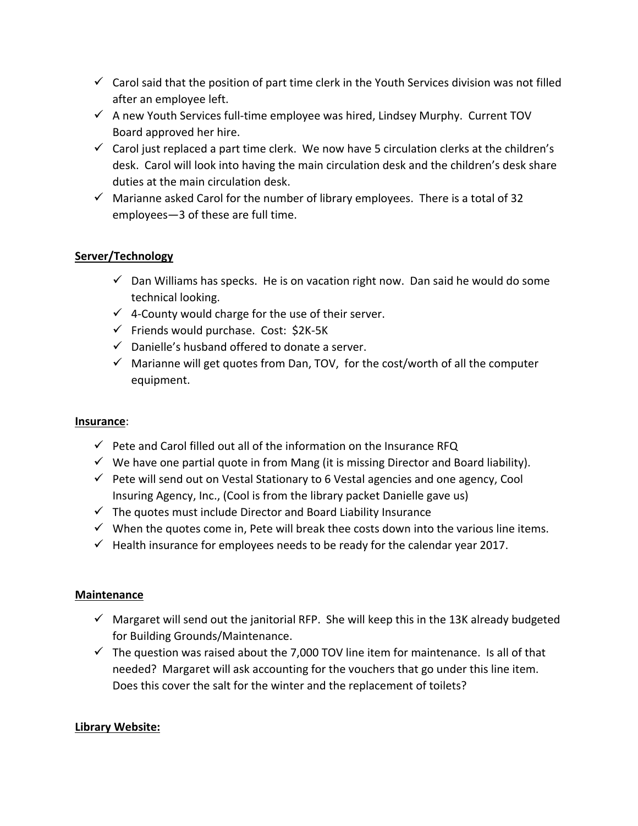- $\checkmark$  Carol said that the position of part time clerk in the Youth Services division was not filled after an employee left.
- $\checkmark$  A new Youth Services full-time employee was hired, Lindsey Murphy. Current TOV Board approved her hire.
- $\checkmark$  Carol just replaced a part time clerk. We now have 5 circulation clerks at the children's desk. Carol will look into having the main circulation desk and the children's desk share duties at the main circulation desk.
- $\checkmark$  Marianne asked Carol for the number of library employees. There is a total of 32 employees—3 of these are full time.

## **Server/Technology**

- $\checkmark$  Dan Williams has specks. He is on vacation right now. Dan said he would do some technical looking.
- $\checkmark$  4-County would charge for the use of their server.
- $\checkmark$  Friends would purchase. Cost: \$2K-5K
- $\checkmark$  Danielle's husband offered to donate a server.
- $\checkmark$  Marianne will get quotes from Dan, TOV, for the cost/worth of all the computer equipment.

## **Insurance**:

- $\checkmark$  Pete and Carol filled out all of the information on the Insurance RFQ
- $\checkmark$  We have one partial quote in from Mang (it is missing Director and Board liability).
- $\checkmark$  Pete will send out on Vestal Stationary to 6 Vestal agencies and one agency, Cool Insuring Agency, Inc., (Cool is from the library packet Danielle gave us)
- $\checkmark$  The quotes must include Director and Board Liability Insurance
- $\checkmark$  When the quotes come in, Pete will break thee costs down into the various line items.
- $\checkmark$  Health insurance for employees needs to be ready for the calendar year 2017.

## **Maintenance**

- $\checkmark$  Margaret will send out the janitorial RFP. She will keep this in the 13K already budgeted for Building Grounds/Maintenance.
- $\checkmark$  The question was raised about the 7,000 TOV line item for maintenance. Is all of that needed? Margaret will ask accounting for the vouchers that go under this line item. Does this cover the salt for the winter and the replacement of toilets?

## **Library Website:**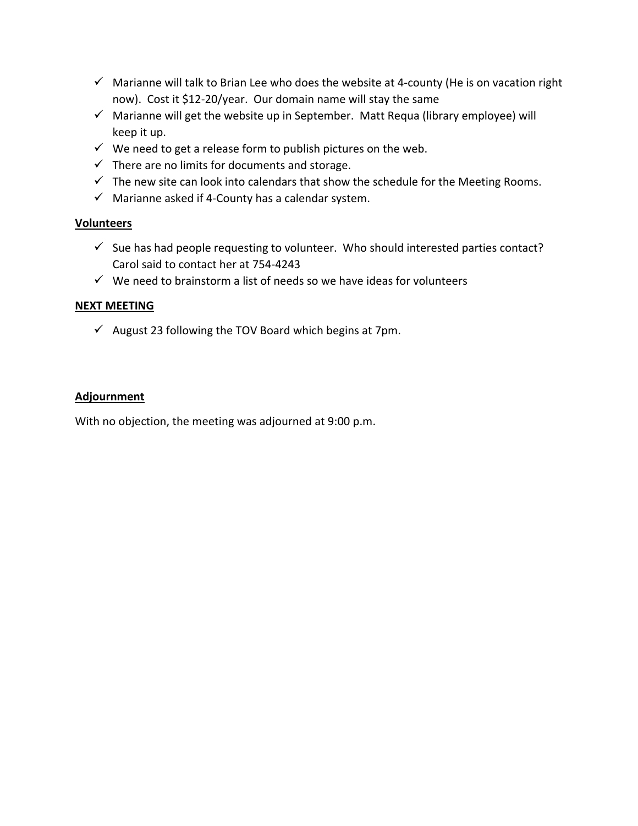- $\checkmark$  Marianne will talk to Brian Lee who does the website at 4-county (He is on vacation right now). Cost it \$12-20/year. Our domain name will stay the same
- $\checkmark$  Marianne will get the website up in September. Matt Requa (library employee) will keep it up.
- $\checkmark$  We need to get a release form to publish pictures on the web.
- $\checkmark$  There are no limits for documents and storage.
- $\checkmark$  The new site can look into calendars that show the schedule for the Meeting Rooms.
- $\checkmark$  Marianne asked if 4-County has a calendar system.

### **Volunteers**

- $\checkmark$  Sue has had people requesting to volunteer. Who should interested parties contact? Carol said to contact her at 754-4243
- $\checkmark$  We need to brainstorm a list of needs so we have ideas for volunteers

## **NEXT MEETING**

 $\checkmark$  August 23 following the TOV Board which begins at 7pm.

### **Adjournment**

With no objection, the meeting was adjourned at 9:00 p.m.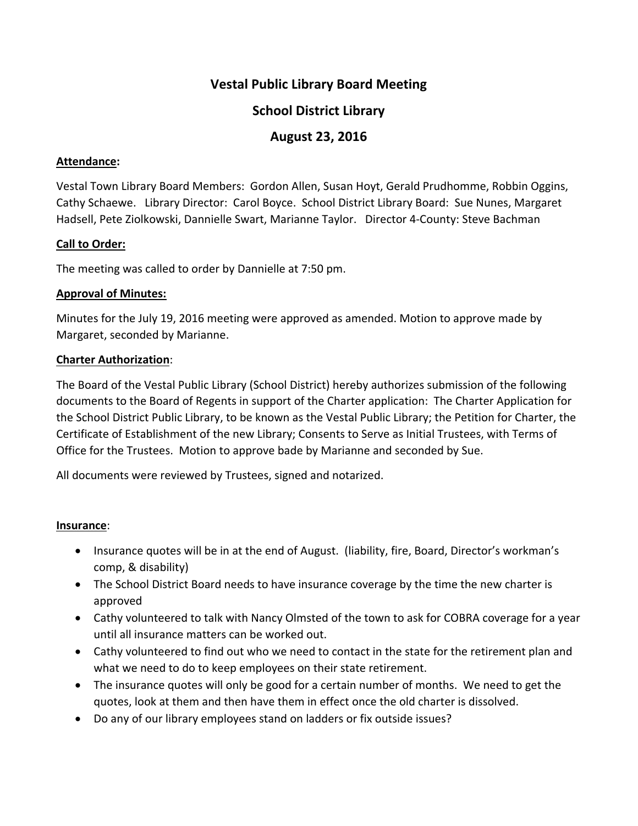# **School District Library**

# **August 23, 2016**

### **Attendance:**

Vestal Town Library Board Members: Gordon Allen, Susan Hoyt, Gerald Prudhomme, Robbin Oggins, Cathy Schaewe. Library Director: Carol Boyce. School District Library Board: Sue Nunes, Margaret Hadsell, Pete Ziolkowski, Dannielle Swart, Marianne Taylor. Director 4-County: Steve Bachman

### **Call to Order:**

The meeting was called to order by Dannielle at 7:50 pm.

#### **Approval of Minutes:**

Minutes for the July 19, 2016 meeting were approved as amended. Motion to approve made by Margaret, seconded by Marianne.

### **Charter Authorization**:

The Board of the Vestal Public Library (School District) hereby authorizes submission of the following documents to the Board of Regents in support of the Charter application: The Charter Application for the School District Public Library, to be known as the Vestal Public Library; the Petition for Charter, the Certificate of Establishment of the new Library; Consents to Serve as Initial Trustees, with Terms of Office for the Trustees. Motion to approve bade by Marianne and seconded by Sue.

All documents were reviewed by Trustees, signed and notarized.

#### **Insurance**:

- Insurance quotes will be in at the end of August. (liability, fire, Board, Director's workman's comp, & disability)
- The School District Board needs to have insurance coverage by the time the new charter is approved
- Cathy volunteered to talk with Nancy Olmsted of the town to ask for COBRA coverage for a year until all insurance matters can be worked out.
- Cathy volunteered to find out who we need to contact in the state for the retirement plan and what we need to do to keep employees on their state retirement.
- The insurance quotes will only be good for a certain number of months. We need to get the quotes, look at them and then have them in effect once the old charter is dissolved.
- Do any of our library employees stand on ladders or fix outside issues?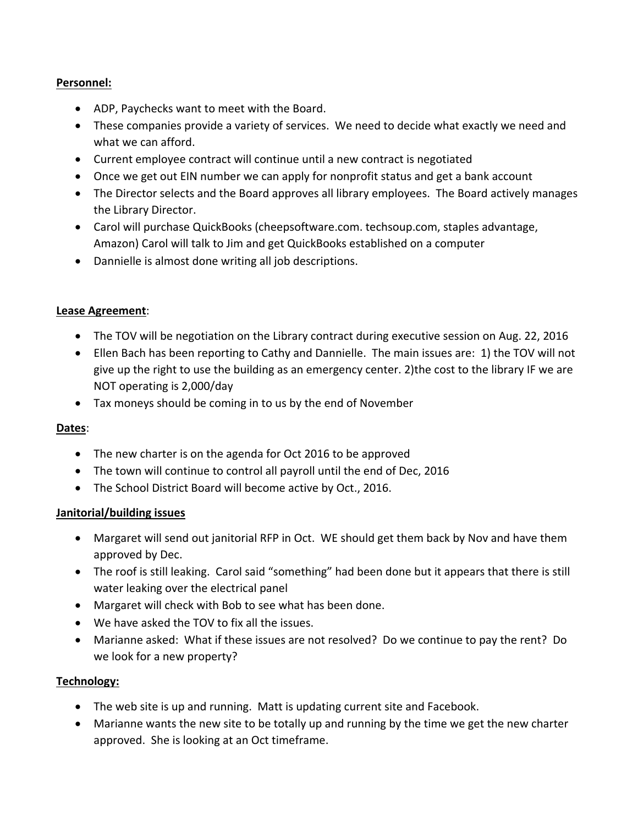## **Personnel:**

- ADP, Paychecks want to meet with the Board.
- These companies provide a variety of services. We need to decide what exactly we need and what we can afford.
- Current employee contract will continue until a new contract is negotiated
- Once we get out EIN number we can apply for nonprofit status and get a bank account
- The Director selects and the Board approves all library employees. The Board actively manages the Library Director.
- Carol will purchase QuickBooks (cheepsoftware.com. techsoup.com, staples advantage, Amazon) Carol will talk to Jim and get QuickBooks established on a computer
- Dannielle is almost done writing all job descriptions.

### **Lease Agreement**:

- The TOV will be negotiation on the Library contract during executive session on Aug. 22, 2016
- Ellen Bach has been reporting to Cathy and Dannielle. The main issues are: 1) the TOV will not give up the right to use the building as an emergency center. 2)the cost to the library IF we are NOT operating is 2,000/day
- Tax moneys should be coming in to us by the end of November

## **Dates**:

- The new charter is on the agenda for Oct 2016 to be approved
- The town will continue to control all payroll until the end of Dec, 2016
- The School District Board will become active by Oct., 2016.

## **Janitorial/building issues**

- Margaret will send out janitorial RFP in Oct. WE should get them back by Nov and have them approved by Dec.
- The roof is still leaking. Carol said "something" had been done but it appears that there is still water leaking over the electrical panel
- Margaret will check with Bob to see what has been done.
- We have asked the TOV to fix all the issues.
- Marianne asked: What if these issues are not resolved? Do we continue to pay the rent? Do we look for a new property?

#### **Technology:**

- The web site is up and running. Matt is updating current site and Facebook.
- Marianne wants the new site to be totally up and running by the time we get the new charter approved. She is looking at an Oct timeframe.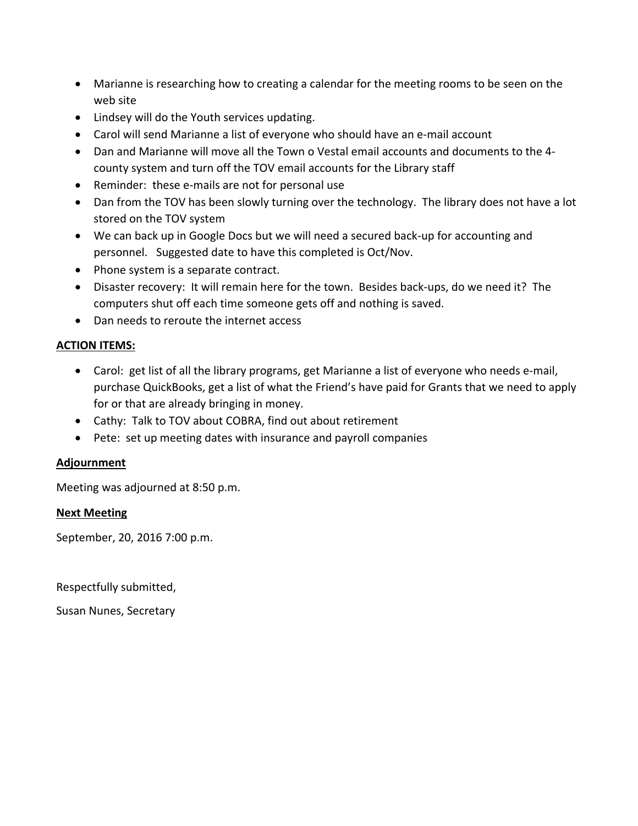- Marianne is researching how to creating a calendar for the meeting rooms to be seen on the web site
- Lindsey will do the Youth services updating.
- Carol will send Marianne a list of everyone who should have an e-mail account
- Dan and Marianne will move all the Town o Vestal email accounts and documents to the 4 county system and turn off the TOV email accounts for the Library staff
- Reminder: these e-mails are not for personal use
- Dan from the TOV has been slowly turning over the technology. The library does not have a lot stored on the TOV system
- We can back up in Google Docs but we will need a secured back-up for accounting and personnel. Suggested date to have this completed is Oct/Nov.
- Phone system is a separate contract.
- Disaster recovery: It will remain here for the town. Besides back-ups, do we need it? The computers shut off each time someone gets off and nothing is saved.
- Dan needs to reroute the internet access

### **ACTION ITEMS:**

- Carol: get list of all the library programs, get Marianne a list of everyone who needs e-mail, purchase QuickBooks, get a list of what the Friend's have paid for Grants that we need to apply for or that are already bringing in money.
- Cathy: Talk to TOV about COBRA, find out about retirement
- Pete: set up meeting dates with insurance and payroll companies

## **Adjournment**

Meeting was adjourned at 8:50 p.m.

#### **Next Meeting**

September, 20, 2016 7:00 p.m.

Respectfully submitted,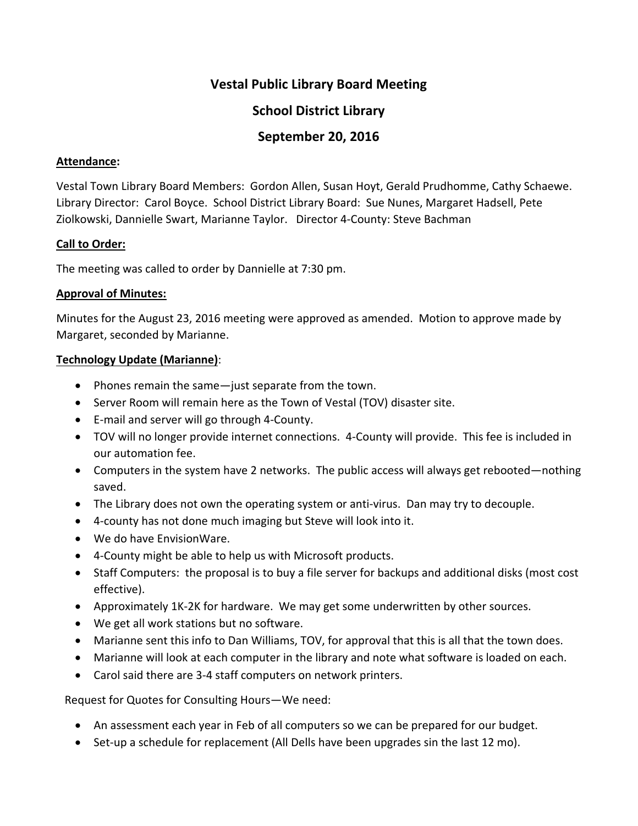# **School District Library**

# **September 20, 2016**

### **Attendance:**

Vestal Town Library Board Members: Gordon Allen, Susan Hoyt, Gerald Prudhomme, Cathy Schaewe. Library Director: Carol Boyce. School District Library Board: Sue Nunes, Margaret Hadsell, Pete Ziolkowski, Dannielle Swart, Marianne Taylor. Director 4-County: Steve Bachman

### **Call to Order:**

The meeting was called to order by Dannielle at 7:30 pm.

#### **Approval of Minutes:**

Minutes for the August 23, 2016 meeting were approved as amended. Motion to approve made by Margaret, seconded by Marianne.

### **Technology Update (Marianne)**:

- Phones remain the same—just separate from the town.
- Server Room will remain here as the Town of Vestal (TOV) disaster site.
- E-mail and server will go through 4-County.
- TOV will no longer provide internet connections. 4-County will provide. This fee is included in our automation fee.
- Computers in the system have 2 networks. The public access will always get rebooted—nothing saved.
- The Library does not own the operating system or anti-virus. Dan may try to decouple.
- 4-county has not done much imaging but Steve will look into it.
- We do have EnvisionWare.
- 4-County might be able to help us with Microsoft products.
- Staff Computers: the proposal is to buy a file server for backups and additional disks (most cost effective).
- Approximately 1K-2K for hardware. We may get some underwritten by other sources.
- We get all work stations but no software.
- Marianne sent this info to Dan Williams, TOV, for approval that this is all that the town does.
- Marianne will look at each computer in the library and note what software is loaded on each.
- Carol said there are 3-4 staff computers on network printers.

Request for Quotes for Consulting Hours—We need:

- An assessment each year in Feb of all computers so we can be prepared for our budget.
- Set-up a schedule for replacement (All Dells have been upgrades sin the last 12 mo).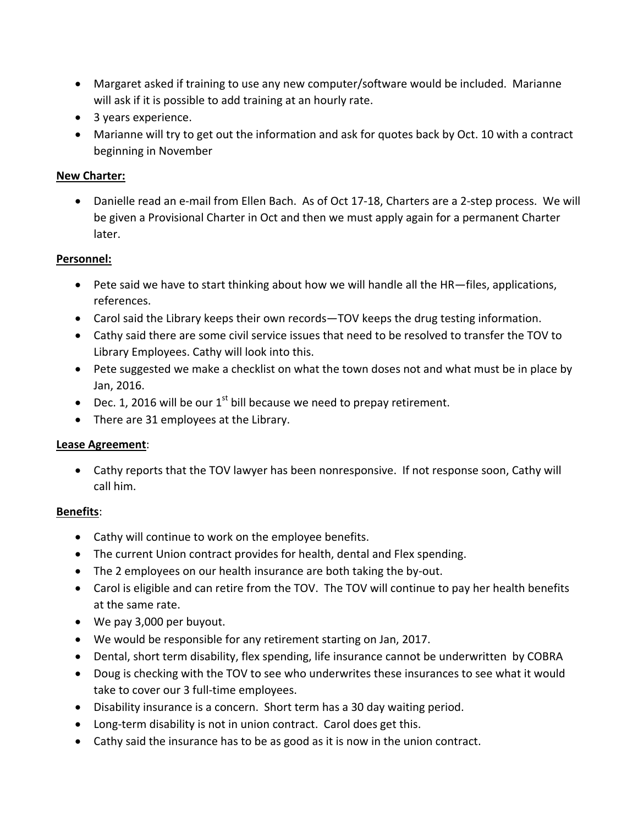- Margaret asked if training to use any new computer/software would be included. Marianne will ask if it is possible to add training at an hourly rate.
- 3 years experience.
- Marianne will try to get out the information and ask for quotes back by Oct. 10 with a contract beginning in November

### **New Charter:**

• Danielle read an e-mail from Ellen Bach. As of Oct 17-18, Charters are a 2-step process. We will be given a Provisional Charter in Oct and then we must apply again for a permanent Charter later.

#### **Personnel:**

- Pete said we have to start thinking about how we will handle all the HR—files, applications, references.
- Carol said the Library keeps their own records—TOV keeps the drug testing information.
- Cathy said there are some civil service issues that need to be resolved to transfer the TOV to Library Employees. Cathy will look into this.
- Pete suggested we make a checklist on what the town doses not and what must be in place by Jan, 2016.
- Dec. 1, 2016 will be our  $1<sup>st</sup>$  bill because we need to prepay retirement.
- There are 31 employees at the Library.

## **Lease Agreement**:

• Cathy reports that the TOV lawyer has been nonresponsive. If not response soon, Cathy will call him.

#### **Benefits**:

- Cathy will continue to work on the employee benefits.
- The current Union contract provides for health, dental and Flex spending.
- The 2 employees on our health insurance are both taking the by-out.
- Carol is eligible and can retire from the TOV. The TOV will continue to pay her health benefits at the same rate.
- We pay 3,000 per buyout.
- We would be responsible for any retirement starting on Jan, 2017.
- Dental, short term disability, flex spending, life insurance cannot be underwritten by COBRA
- Doug is checking with the TOV to see who underwrites these insurances to see what it would take to cover our 3 full-time employees.
- Disability insurance is a concern. Short term has a 30 day waiting period.
- Long-term disability is not in union contract. Carol does get this.
- Cathy said the insurance has to be as good as it is now in the union contract.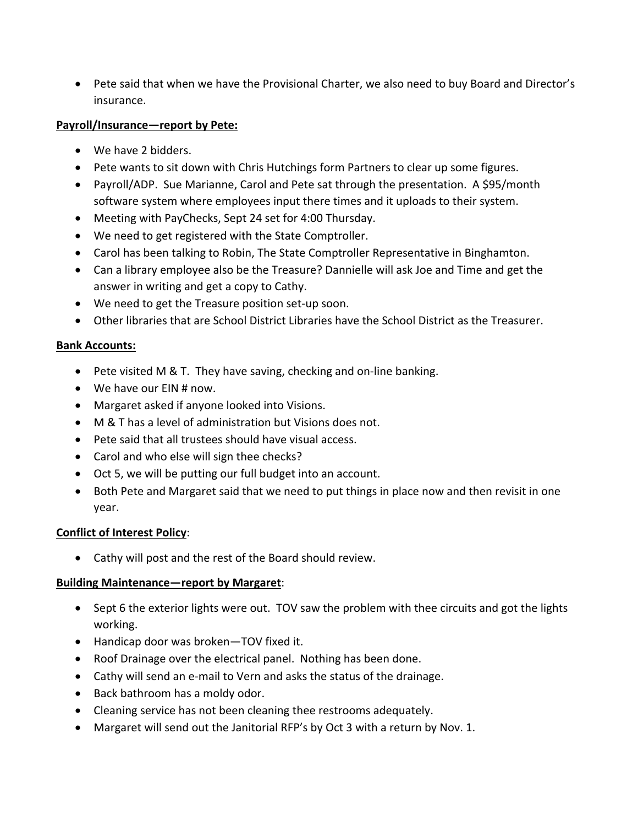• Pete said that when we have the Provisional Charter, we also need to buy Board and Director's insurance.

### **Payroll/Insurance—report by Pete:**

- We have 2 bidders.
- Pete wants to sit down with Chris Hutchings form Partners to clear up some figures.
- Payroll/ADP. Sue Marianne, Carol and Pete sat through the presentation. A \$95/month software system where employees input there times and it uploads to their system.
- Meeting with PayChecks, Sept 24 set for 4:00 Thursday.
- We need to get registered with the State Comptroller.
- Carol has been talking to Robin, The State Comptroller Representative in Binghamton.
- Can a library employee also be the Treasure? Dannielle will ask Joe and Time and get the answer in writing and get a copy to Cathy.
- We need to get the Treasure position set-up soon.
- Other libraries that are School District Libraries have the School District as the Treasurer.

### **Bank Accounts:**

- Pete visited M & T. They have saving, checking and on-line banking.
- We have our EIN # now.
- Margaret asked if anyone looked into Visions.
- M & T has a level of administration but Visions does not.
- Pete said that all trustees should have visual access.
- Carol and who else will sign thee checks?
- Oct 5, we will be putting our full budget into an account.
- Both Pete and Margaret said that we need to put things in place now and then revisit in one year.

## **Conflict of Interest Policy**:

• Cathy will post and the rest of the Board should review.

## **Building Maintenance—report by Margaret**:

- Sept 6 the exterior lights were out. TOV saw the problem with thee circuits and got the lights working.
- Handicap door was broken—TOV fixed it.
- Roof Drainage over the electrical panel. Nothing has been done.
- Cathy will send an e-mail to Vern and asks the status of the drainage.
- Back bathroom has a moldy odor.
- Cleaning service has not been cleaning thee restrooms adequately.
- Margaret will send out the Janitorial RFP's by Oct 3 with a return by Nov. 1.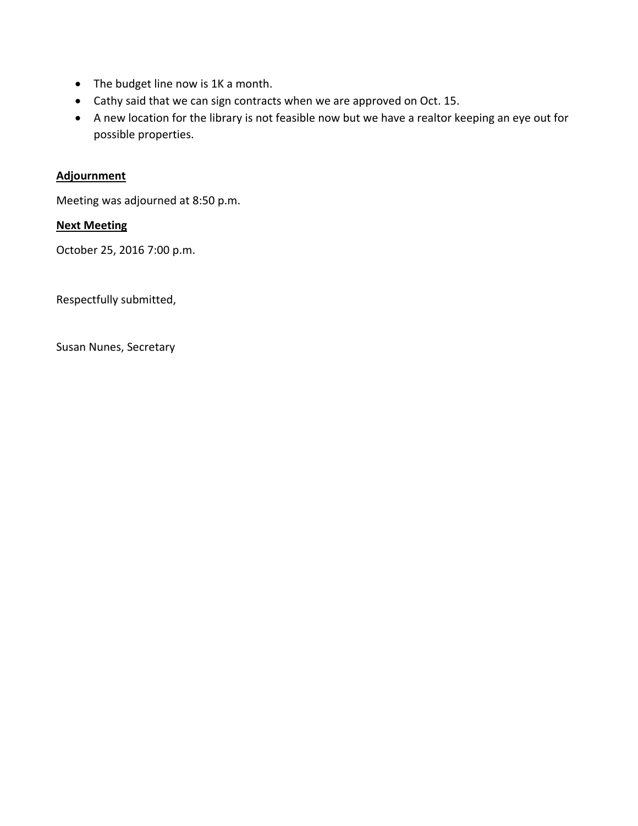- The budget line now is 1K a month.
- Cathy said that we can sign contracts when we are approved on Oct. 15.
- A new location for the library is not feasible now but we have a realtor keeping an eye out for possible properties.

## **Adjournment**

Meeting was adjourned at 8:50 p.m.

## **Next Meeting**

October 25, 2016 7:00 p.m.

Respectfully submitted,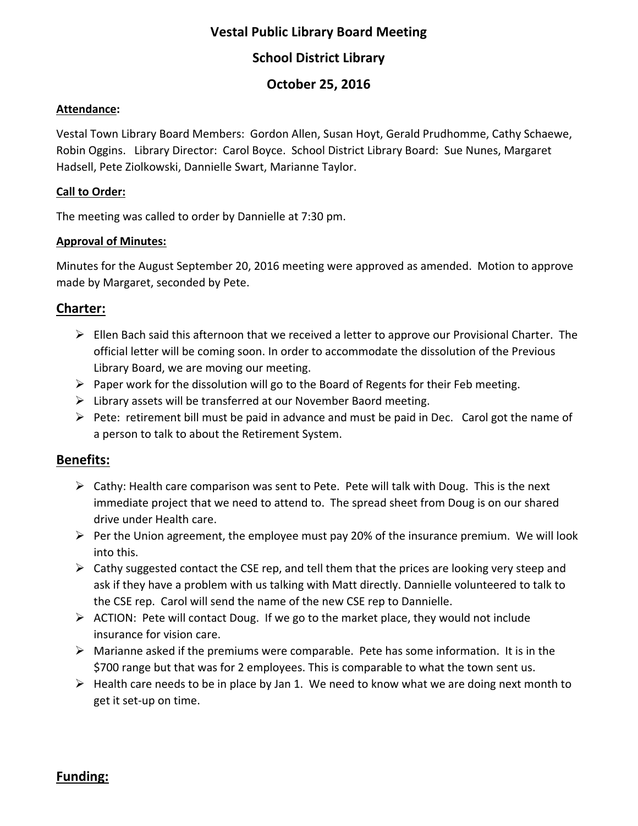# **School District Library**

# **October 25, 2016**

### **Attendance:**

Vestal Town Library Board Members: Gordon Allen, Susan Hoyt, Gerald Prudhomme, Cathy Schaewe, Robin Oggins. Library Director: Carol Boyce. School District Library Board: Sue Nunes, Margaret Hadsell, Pete Ziolkowski, Dannielle Swart, Marianne Taylor.

## **Call to Order:**

The meeting was called to order by Dannielle at 7:30 pm.

# **Approval of Minutes:**

Minutes for the August September 20, 2016 meeting were approved as amended. Motion to approve made by Margaret, seconded by Pete.

# **Charter:**

- $\triangleright$  Ellen Bach said this afternoon that we received a letter to approve our Provisional Charter. The official letter will be coming soon. In order to accommodate the dissolution of the Previous Library Board, we are moving our meeting.
- $\triangleright$  Paper work for the dissolution will go to the Board of Regents for their Feb meeting.
- $\triangleright$  Library assets will be transferred at our November Baord meeting.
- $\triangleright$  Pete: retirement bill must be paid in advance and must be paid in Dec. Carol got the name of a person to talk to about the Retirement System.

# **Benefits:**

- $\triangleright$  Cathy: Health care comparison was sent to Pete. Pete will talk with Doug. This is the next immediate project that we need to attend to. The spread sheet from Doug is on our shared drive under Health care.
- $\triangleright$  Per the Union agreement, the employee must pay 20% of the insurance premium. We will look into this.
- $\triangleright$  Cathy suggested contact the CSE rep, and tell them that the prices are looking very steep and ask if they have a problem with us talking with Matt directly. Dannielle volunteered to talk to the CSE rep. Carol will send the name of the new CSE rep to Dannielle.
- $\triangleright$  ACTION: Pete will contact Doug. If we go to the market place, they would not include insurance for vision care.
- $\triangleright$  Marianne asked if the premiums were comparable. Pete has some information. It is in the \$700 range but that was for 2 employees. This is comparable to what the town sent us.
- $\triangleright$  Health care needs to be in place by Jan 1. We need to know what we are doing next month to get it set-up on time.

# **Funding:**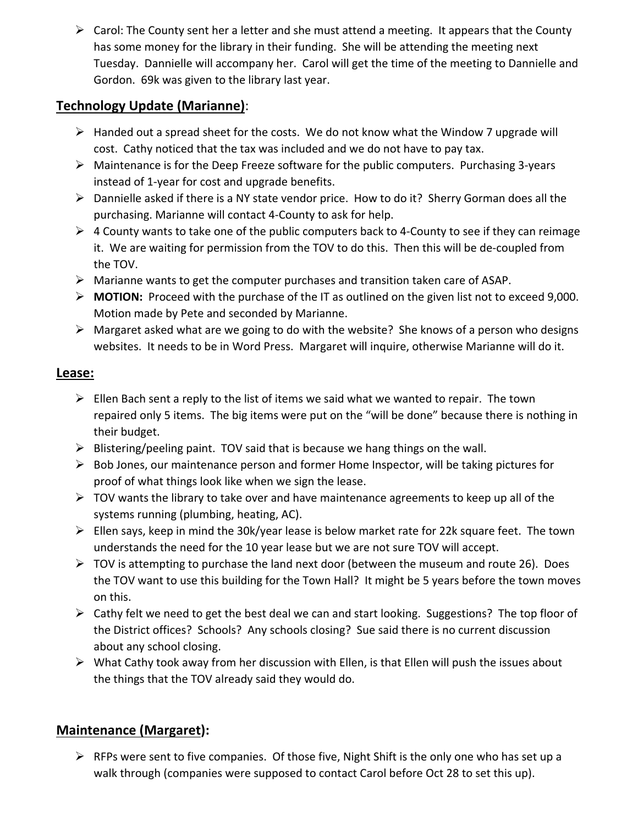$\triangleright$  Carol: The County sent her a letter and she must attend a meeting. It appears that the County has some money for the library in their funding. She will be attending the meeting next Tuesday. Dannielle will accompany her. Carol will get the time of the meeting to Dannielle and Gordon. 69k was given to the library last year.

# **Technology Update (Marianne)**:

- $\triangleright$  Handed out a spread sheet for the costs. We do not know what the Window 7 upgrade will cost. Cathy noticed that the tax was included and we do not have to pay tax.
- $\triangleright$  Maintenance is for the Deep Freeze software for the public computers. Purchasing 3-years instead of 1-year for cost and upgrade benefits.
- Dannielle asked if there is a NY state vendor price. How to do it? Sherry Gorman does all the purchasing. Marianne will contact 4-County to ask for help.
- $\triangleright$  4 County wants to take one of the public computers back to 4-County to see if they can reimage it. We are waiting for permission from the TOV to do this. Then this will be de-coupled from the TOV.
- $\triangleright$  Marianne wants to get the computer purchases and transition taken care of ASAP.
- **MOTION:** Proceed with the purchase of the IT as outlined on the given list not to exceed 9,000. Motion made by Pete and seconded by Marianne.
- $\triangleright$  Margaret asked what are we going to do with the website? She knows of a person who designs websites. It needs to be in Word Press. Margaret will inquire, otherwise Marianne will do it.

# **Lease:**

- $\triangleright$  Ellen Bach sent a reply to the list of items we said what we wanted to repair. The town repaired only 5 items. The big items were put on the "will be done" because there is nothing in their budget.
- $\triangleright$  Blistering/peeling paint. TOV said that is because we hang things on the wall.
- $\triangleright$  Bob Jones, our maintenance person and former Home Inspector, will be taking pictures for proof of what things look like when we sign the lease.
- $\triangleright$  TOV wants the library to take over and have maintenance agreements to keep up all of the systems running (plumbing, heating, AC).
- $\triangleright$  Ellen says, keep in mind the 30k/year lease is below market rate for 22k square feet. The town understands the need for the 10 year lease but we are not sure TOV will accept.
- $\triangleright$  TOV is attempting to purchase the land next door (between the museum and route 26). Does the TOV want to use this building for the Town Hall? It might be 5 years before the town moves on this.
- $\triangleright$  Cathy felt we need to get the best deal we can and start looking. Suggestions? The top floor of the District offices? Schools? Any schools closing? Sue said there is no current discussion about any school closing.
- $\triangleright$  What Cathy took away from her discussion with Ellen, is that Ellen will push the issues about the things that the TOV already said they would do.

# **Maintenance (Margaret):**

 $\triangleright$  RFPs were sent to five companies. Of those five, Night Shift is the only one who has set up a walk through (companies were supposed to contact Carol before Oct 28 to set this up).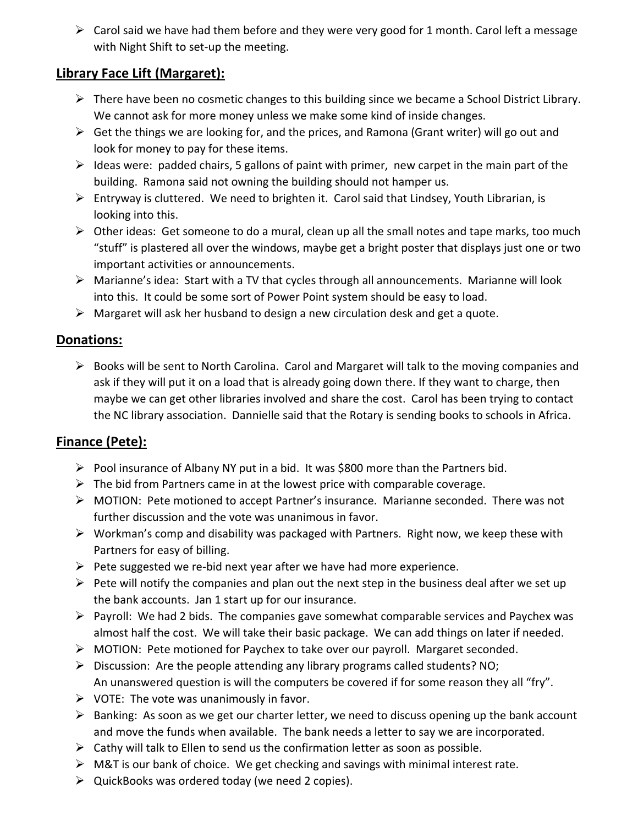$\triangleright$  Carol said we have had them before and they were very good for 1 month. Carol left a message with Night Shift to set-up the meeting.

# **Library Face Lift (Margaret):**

- $\triangleright$  There have been no cosmetic changes to this building since we became a School District Library. We cannot ask for more money unless we make some kind of inside changes.
- $\triangleright$  Get the things we are looking for, and the prices, and Ramona (Grant writer) will go out and look for money to pay for these items.
- $\triangleright$  Ideas were: padded chairs, 5 gallons of paint with primer, new carpet in the main part of the building. Ramona said not owning the building should not hamper us.
- $\triangleright$  Entryway is cluttered. We need to brighten it. Carol said that Lindsey, Youth Librarian, is looking into this.
- $\triangleright$  Other ideas: Get someone to do a mural, clean up all the small notes and tape marks, too much "stuff" is plastered all over the windows, maybe get a bright poster that displays just one or two important activities or announcements.
- Marianne's idea: Start with a TV that cycles through all announcements. Marianne will look into this. It could be some sort of Power Point system should be easy to load.
- $\triangleright$  Margaret will ask her husband to design a new circulation desk and get a quote.

# **Donations:**

 $\triangleright$  Books will be sent to North Carolina. Carol and Margaret will talk to the moving companies and ask if they will put it on a load that is already going down there. If they want to charge, then maybe we can get other libraries involved and share the cost. Carol has been trying to contact the NC library association. Dannielle said that the Rotary is sending books to schools in Africa.

# **Finance (Pete):**

- $\triangleright$  Pool insurance of Albany NY put in a bid. It was \$800 more than the Partners bid.
- $\triangleright$  The bid from Partners came in at the lowest price with comparable coverage.
- MOTION: Pete motioned to accept Partner's insurance. Marianne seconded. There was not further discussion and the vote was unanimous in favor.
- $\triangleright$  Workman's comp and disability was packaged with Partners. Right now, we keep these with Partners for easy of billing.
- $\triangleright$  Pete suggested we re-bid next year after we have had more experience.
- $\triangleright$  Pete will notify the companies and plan out the next step in the business deal after we set up the bank accounts. Jan 1 start up for our insurance.
- $\triangleright$  Payroll: We had 2 bids. The companies gave somewhat comparable services and Paychex was almost half the cost. We will take their basic package. We can add things on later if needed.
- $\triangleright$  MOTION: Pete motioned for Paychex to take over our payroll. Margaret seconded.
- $\triangleright$  Discussion: Are the people attending any library programs called students? NO; An unanswered question is will the computers be covered if for some reason they all "fry".
- $\triangleright$  VOTE: The vote was unanimously in favor.
- $\triangleright$  Banking: As soon as we get our charter letter, we need to discuss opening up the bank account and move the funds when available. The bank needs a letter to say we are incorporated.
- $\triangleright$  Cathy will talk to Ellen to send us the confirmation letter as soon as possible.
- $\triangleright$  M&T is our bank of choice. We get checking and savings with minimal interest rate.
- $\triangleright$  QuickBooks was ordered today (we need 2 copies).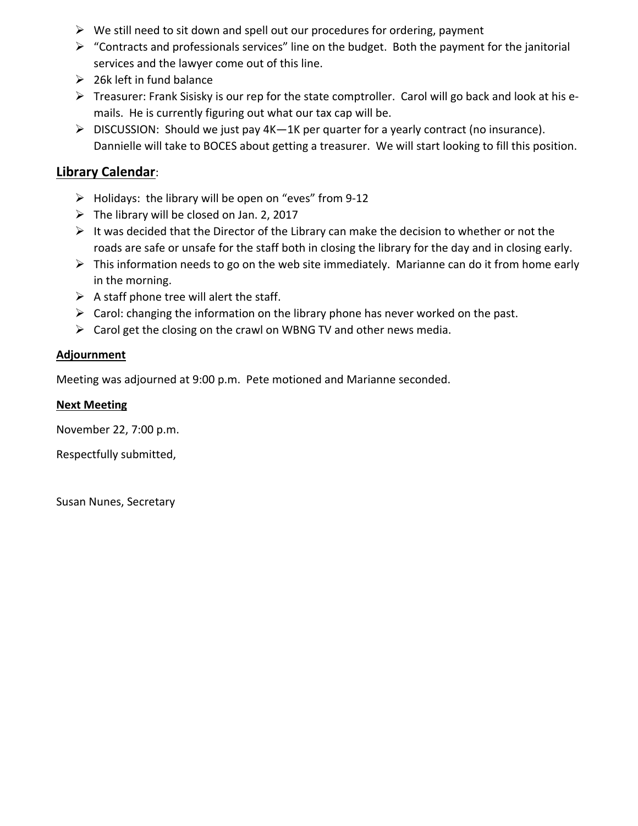- $\triangleright$  We still need to sit down and spell out our procedures for ordering, payment
- $\triangleright$  "Contracts and professionals services" line on the budget. Both the payment for the janitorial services and the lawyer come out of this line.
- $\geq$  26k left in fund balance
- $\triangleright$  Treasurer: Frank Sisisky is our rep for the state comptroller. Carol will go back and look at his emails. He is currently figuring out what our tax cap will be.
- DISCUSSION: Should we just pay 4K—1K per quarter for a yearly contract (no insurance). Dannielle will take to BOCES about getting a treasurer. We will start looking to fill this position.

# **Library Calendar**:

- $\triangleright$  Holidays: the library will be open on "eves" from 9-12
- $\triangleright$  The library will be closed on Jan. 2, 2017
- $\triangleright$  It was decided that the Director of the Library can make the decision to whether or not the roads are safe or unsafe for the staff both in closing the library for the day and in closing early.
- $\triangleright$  This information needs to go on the web site immediately. Marianne can do it from home early in the morning.
- $\triangleright$  A staff phone tree will alert the staff.
- $\triangleright$  Carol: changing the information on the library phone has never worked on the past.
- $\triangleright$  Carol get the closing on the crawl on WBNG TV and other news media.

# **Adjournment**

Meeting was adjourned at 9:00 p.m. Pete motioned and Marianne seconded.

# **Next Meeting**

November 22, 7:00 p.m.

Respectfully submitted,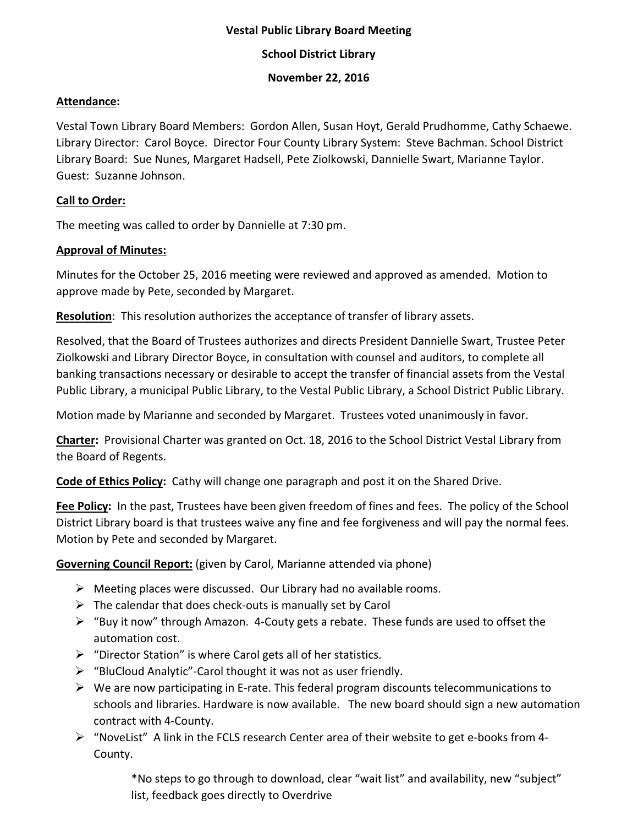### **School District Library**

#### **November 22, 2016**

#### **Attendance:**

Vestal Town Library Board Members: Gordon Allen, Susan Hoyt, Gerald Prudhomme, Cathy Schaewe. Library Director: Carol Boyce. Director Four County Library System: Steve Bachman. School District Library Board: Sue Nunes, Margaret Hadsell, Pete Ziolkowski, Dannielle Swart, Marianne Taylor. Guest: Suzanne Johnson.

#### **Call to Order:**

The meeting was called to order by Dannielle at 7:30 pm.

### **Approval of Minutes:**

Minutes for the October 25, 2016 meeting were reviewed and approved as amended. Motion to approve made by Pete, seconded by Margaret.

**Resolution**: This resolution authorizes the acceptance of transfer of library assets.

Resolved, that the Board of Trustees authorizes and directs President Dannielle Swart, Trustee Peter Ziolkowski and Library Director Boyce, in consultation with counsel and auditors, to complete all banking transactions necessary or desirable to accept the transfer of financial assets from the Vestal Public Library, a municipal Public Library, to the Vestal Public Library, a School District Public Library.

Motion made by Marianne and seconded by Margaret. Trustees voted unanimously in favor.

**Charter:** Provisional Charter was granted on Oct. 18, 2016 to the School District Vestal Library from the Board of Regents.

**Code of Ethics Policy:** Cathy will change one paragraph and post it on the Shared Drive.

**Fee Policy:** In the past, Trustees have been given freedom of fines and fees. The policy of the School District Library board is that trustees waive any fine and fee forgiveness and will pay the normal fees. Motion by Pete and seconded by Margaret.

**Governing Council Report:** (given by Carol, Marianne attended via phone)

- $\triangleright$  Meeting places were discussed. Our Library had no available rooms.
- $\triangleright$  The calendar that does check-outs is manually set by Carol
- $\triangleright$  "Buy it now" through Amazon. 4-Couty gets a rebate. These funds are used to offset the automation cost.
- $\triangleright$  "Director Station" is where Carol gets all of her statistics.
- $\triangleright$  "BluCloud Analytic"-Carol thought it was not as user friendly.
- $\triangleright$  We are now participating in E-rate. This federal program discounts telecommunications to schools and libraries. Hardware is now available. The new board should sign a new automation contract with 4-County.
- $\triangleright$  "NoveList" A link in the FCLS research Center area of their website to get e-books from 4-County.

\*No steps to go through to download, clear "wait list" and availability, new "subject" list, feedback goes directly to Overdrive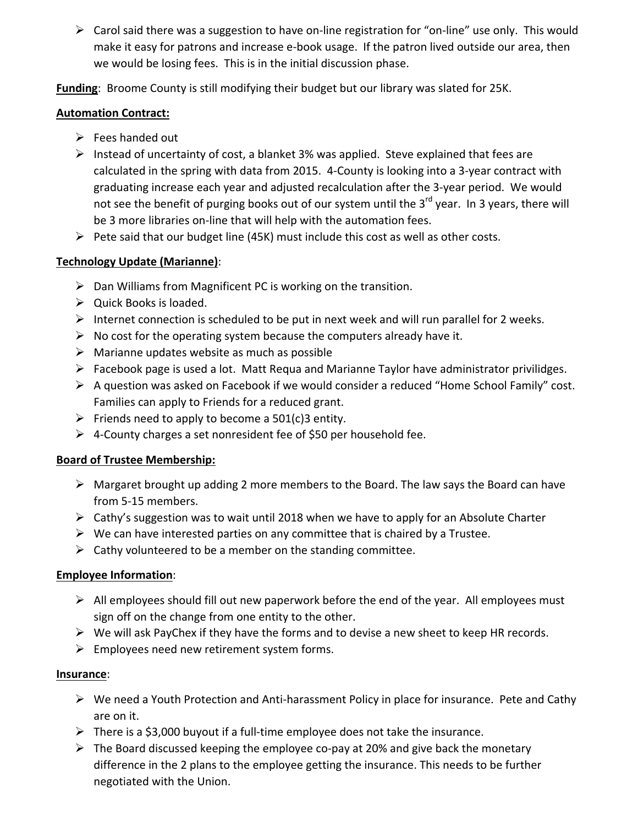$\triangleright$  Carol said there was a suggestion to have on-line registration for "on-line" use only. This would make it easy for patrons and increase e-book usage. If the patron lived outside our area, then we would be losing fees. This is in the initial discussion phase.

**Funding**: Broome County is still modifying their budget but our library was slated for 25K.

### **Automation Contract:**

- $\triangleright$  Fees handed out
- $\triangleright$  Instead of uncertainty of cost, a blanket 3% was applied. Steve explained that fees are calculated in the spring with data from 2015. 4-County is looking into a 3-year contract with graduating increase each year and adjusted recalculation after the 3-year period. We would not see the benefit of purging books out of our system until the  $3^{rd}$  year. In 3 years, there will be 3 more libraries on-line that will help with the automation fees.
- $\triangleright$  Pete said that our budget line (45K) must include this cost as well as other costs.

# **Technology Update (Marianne)**:

- $\triangleright$  Dan Williams from Magnificent PC is working on the transition.
- $\triangleright$  Quick Books is loaded.
- $\triangleright$  Internet connection is scheduled to be put in next week and will run parallel for 2 weeks.
- $\triangleright$  No cost for the operating system because the computers already have it.
- $\triangleright$  Marianne updates website as much as possible
- $\triangleright$  Facebook page is used a lot. Matt Requa and Marianne Taylor have administrator privilidges.
- $\triangleright$  A question was asked on Facebook if we would consider a reduced "Home School Family" cost. Families can apply to Friends for a reduced grant.
- Friends need to apply to become a  $501(c)3$  entity.
- $\triangleright$  4-County charges a set nonresident fee of \$50 per household fee.

## **Board of Trustee Membership:**

- $\triangleright$  Margaret brought up adding 2 more members to the Board. The law says the Board can have from 5-15 members.
- $\triangleright$  Cathy's suggestion was to wait until 2018 when we have to apply for an Absolute Charter
- $\triangleright$  We can have interested parties on any committee that is chaired by a Trustee.
- $\triangleright$  Cathy volunteered to be a member on the standing committee.

## **Employee Information**:

- $\triangleright$  All employees should fill out new paperwork before the end of the year. All employees must sign off on the change from one entity to the other.
- $\triangleright$  We will ask PayChex if they have the forms and to devise a new sheet to keep HR records.
- $\triangleright$  Employees need new retirement system forms.

## **Insurance**:

- $\triangleright$  We need a Youth Protection and Anti-harassment Policy in place for insurance. Pete and Cathy are on it.
- $\triangleright$  There is a \$3,000 buyout if a full-time employee does not take the insurance.
- $\triangleright$  The Board discussed keeping the employee co-pay at 20% and give back the monetary difference in the 2 plans to the employee getting the insurance. This needs to be further negotiated with the Union.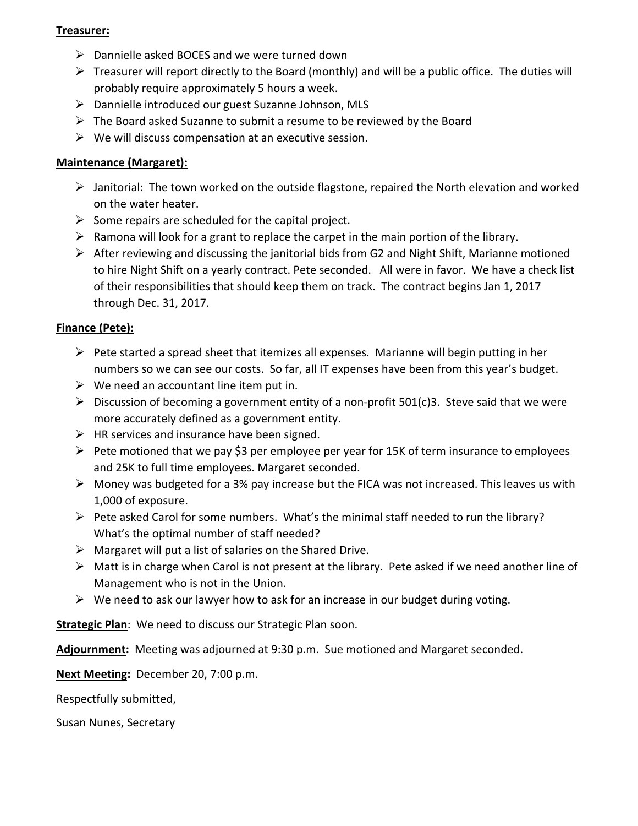### **Treasurer:**

- $\triangleright$  Dannielle asked BOCES and we were turned down
- $\triangleright$  Treasurer will report directly to the Board (monthly) and will be a public office. The duties will probably require approximately 5 hours a week.
- Dannielle introduced our guest Suzanne Johnson, MLS
- $\triangleright$  The Board asked Suzanne to submit a resume to be reviewed by the Board
- $\triangleright$  We will discuss compensation at an executive session.

## **Maintenance (Margaret):**

- $\triangleright$  Janitorial: The town worked on the outside flagstone, repaired the North elevation and worked on the water heater.
- $\triangleright$  Some repairs are scheduled for the capital project.
- $\triangleright$  Ramona will look for a grant to replace the carpet in the main portion of the library.
- $\triangleright$  After reviewing and discussing the janitorial bids from G2 and Night Shift, Marianne motioned to hire Night Shift on a yearly contract. Pete seconded. All were in favor. We have a check list of their responsibilities that should keep them on track. The contract begins Jan 1, 2017 through Dec. 31, 2017.

## **Finance (Pete):**

- $\triangleright$  Pete started a spread sheet that itemizes all expenses. Marianne will begin putting in her numbers so we can see our costs. So far, all IT expenses have been from this year's budget.
- $\triangleright$  We need an accountant line item put in.
- $\triangleright$  Discussion of becoming a government entity of a non-profit 501(c)3. Steve said that we were more accurately defined as a government entity.
- $\triangleright$  HR services and insurance have been signed.
- $\triangleright$  Pete motioned that we pay \$3 per employee per year for 15K of term insurance to employees and 25K to full time employees. Margaret seconded.
- $\triangleright$  Money was budgeted for a 3% pay increase but the FICA was not increased. This leaves us with 1,000 of exposure.
- $\triangleright$  Pete asked Carol for some numbers. What's the minimal staff needed to run the library? What's the optimal number of staff needed?
- $\triangleright$  Margaret will put a list of salaries on the Shared Drive.
- $\triangleright$  Matt is in charge when Carol is not present at the library. Pete asked if we need another line of Management who is not in the Union.
- $\triangleright$  We need to ask our lawyer how to ask for an increase in our budget during voting.

**Strategic Plan**: We need to discuss our Strategic Plan soon.

**Adjournment:** Meeting was adjourned at 9:30 p.m. Sue motioned and Margaret seconded.

**Next Meeting:** December 20, 7:00 p.m.

Respectfully submitted,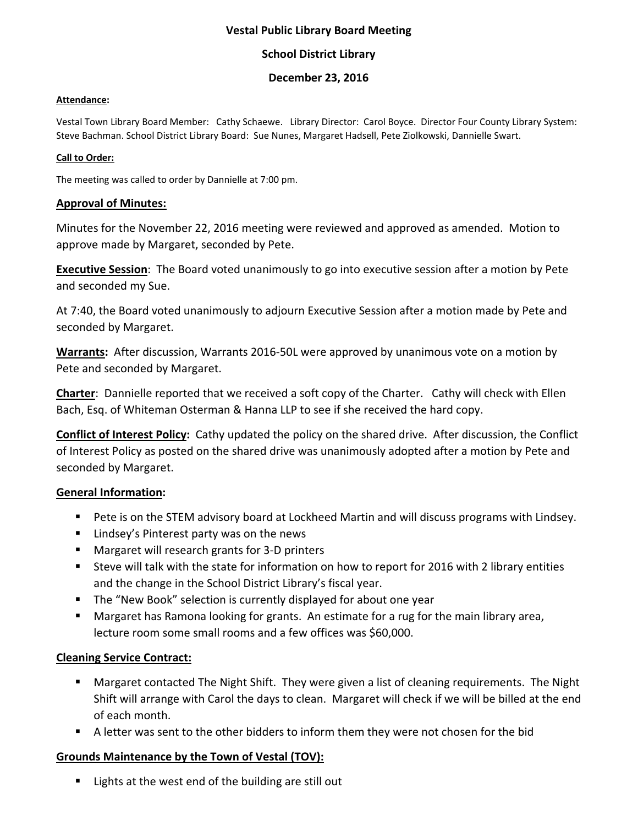### **School District Library**

### **December 23, 2016**

#### **Attendance:**

Vestal Town Library Board Member: Cathy Schaewe. Library Director: Carol Boyce. Director Four County Library System: Steve Bachman. School District Library Board: Sue Nunes, Margaret Hadsell, Pete Ziolkowski, Dannielle Swart.

#### **Call to Order:**

The meeting was called to order by Dannielle at 7:00 pm.

#### **Approval of Minutes:**

Minutes for the November 22, 2016 meeting were reviewed and approved as amended. Motion to approve made by Margaret, seconded by Pete.

**Executive Session**: The Board voted unanimously to go into executive session after a motion by Pete and seconded my Sue.

At 7:40, the Board voted unanimously to adjourn Executive Session after a motion made by Pete and seconded by Margaret.

**Warrants:** After discussion, Warrants 2016-50L were approved by unanimous vote on a motion by Pete and seconded by Margaret.

**Charter**: Dannielle reported that we received a soft copy of the Charter. Cathy will check with Ellen Bach, Esq. of Whiteman Osterman & Hanna LLP to see if she received the hard copy.

**Conflict of Interest Policy:** Cathy updated the policy on the shared drive. After discussion, the Conflict of Interest Policy as posted on the shared drive was unanimously adopted after a motion by Pete and seconded by Margaret.

#### **General Information:**

- Pete is on the STEM advisory board at Lockheed Martin and will discuss programs with Lindsey.
- **E** Lindsey's Pinterest party was on the news
- **Margaret will research grants for 3-D printers**
- Steve will talk with the state for information on how to report for 2016 with 2 library entities and the change in the School District Library's fiscal year.
- The "New Book" selection is currently displayed for about one year
- Margaret has Ramona looking for grants. An estimate for a rug for the main library area, lecture room some small rooms and a few offices was \$60,000.

#### **Cleaning Service Contract:**

- **Margaret contacted The Night Shift. They were given a list of cleaning requirements. The Night 4** Shift will arrange with Carol the days to clean. Margaret will check if we will be billed at the end of each month.
- A letter was sent to the other bidders to inform them they were not chosen for the bid

## **Grounds Maintenance by the Town of Vestal (TOV):**

■ Lights at the west end of the building are still out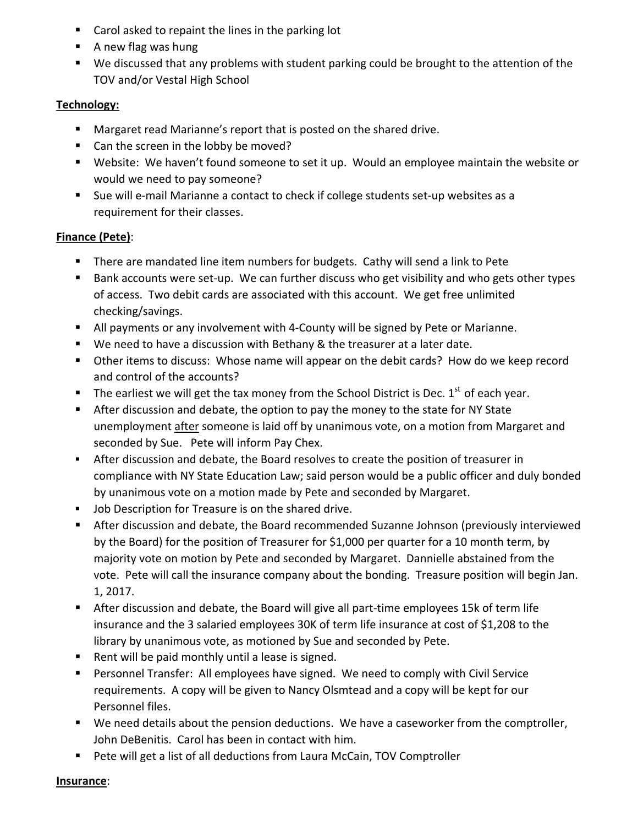- Carol asked to repaint the lines in the parking lot
- A new flag was hung
- We discussed that any problems with student parking could be brought to the attention of the TOV and/or Vestal High School

# **Technology:**

- **Margaret read Marianne's report that is posted on the shared drive.**
- Can the screen in the lobby be moved?
- Website: We haven't found someone to set it up. Would an employee maintain the website or would we need to pay someone?
- Sue will e-mail Marianne a contact to check if college students set-up websites as a requirement for their classes.

# **Finance (Pete)**:

- **There are mandated line item numbers for budgets. Cathy will send a link to Pete**
- Bank accounts were set-up. We can further discuss who get visibility and who gets other types of access. Two debit cards are associated with this account. We get free unlimited checking/savings.
- All payments or any involvement with 4-County will be signed by Pete or Marianne.
- We need to have a discussion with Bethany & the treasurer at a later date.
- **Diamage 1** Other items to discuss: Whose name will appear on the debit cards? How do we keep record and control of the accounts?
- The earliest we will get the tax money from the School District is Dec.  $1<sup>st</sup>$  of each year.
- After discussion and debate, the option to pay the money to the state for NY State unemployment after someone is laid off by unanimous vote, on a motion from Margaret and seconded by Sue. Pete will inform Pay Chex.
- After discussion and debate, the Board resolves to create the position of treasurer in compliance with NY State Education Law; said person would be a public officer and duly bonded by unanimous vote on a motion made by Pete and seconded by Margaret.
- **Job Description for Treasure is on the shared drive.**
- After discussion and debate, the Board recommended Suzanne Johnson (previously interviewed by the Board) for the position of Treasurer for \$1,000 per quarter for a 10 month term, by majority vote on motion by Pete and seconded by Margaret. Dannielle abstained from the vote. Pete will call the insurance company about the bonding. Treasure position will begin Jan. 1, 2017.
- After discussion and debate, the Board will give all part-time employees 15k of term life insurance and the 3 salaried employees 30K of term life insurance at cost of \$1,208 to the library by unanimous vote, as motioned by Sue and seconded by Pete.
- Rent will be paid monthly until a lease is signed.
- Personnel Transfer: All employees have signed. We need to comply with Civil Service requirements. A copy will be given to Nancy Olsmtead and a copy will be kept for our Personnel files.
- We need details about the pension deductions. We have a caseworker from the comptroller, John DeBenitis. Carol has been in contact with him.
- Pete will get a list of all deductions from Laura McCain, TOV Comptroller

**Insurance**: